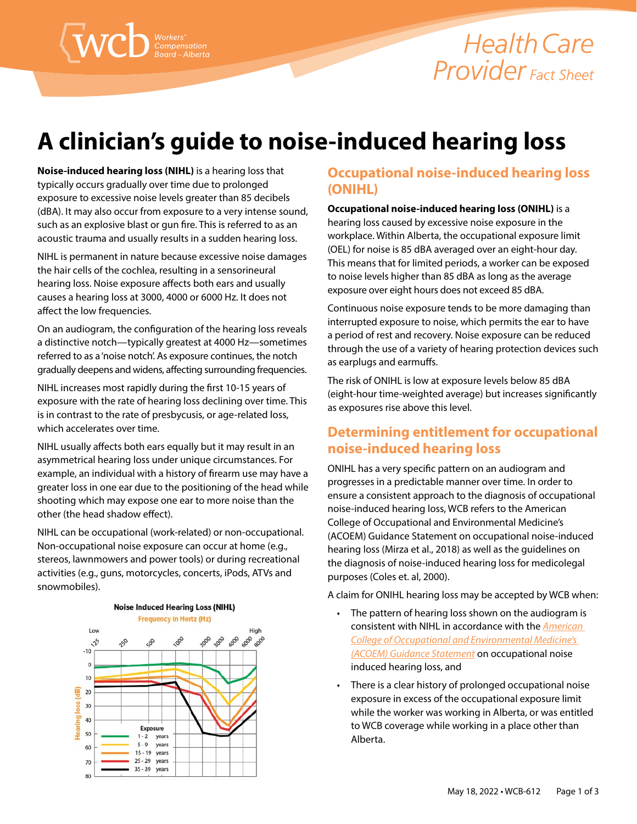# **Health Care Provider** Fact Sheet

# **A clinician's guide to noise-induced hearing loss**

**Noise-induced hearing loss (NIHL)** is a hearing loss that typically occurs gradually over time due to prolonged exposure to excessive noise levels greater than 85 decibels (dBA). It may also occur from exposure to a very intense sound, such as an explosive blast or gun fire. This is referred to as an acoustic trauma and usually results in a sudden hearing loss.

NIHL is permanent in nature because excessive noise damages the hair cells of the cochlea, resulting in a sensorineural hearing loss. Noise exposure affects both ears and usually causes a hearing loss at 3000, 4000 or 6000 Hz. It does not affect the low frequencies.

On an audiogram, the configuration of the hearing loss reveals a distinctive notch—typically greatest at 4000 Hz—sometimes referred to as a 'noise notch'. As exposure continues, the notch gradually deepens and widens, affecting surrounding frequencies.

NIHL increases most rapidly during the first 10-15 years of exposure with the rate of hearing loss declining over time. This is in contrast to the rate of presbycusis, or age-related loss, which accelerates over time.

NIHL usually affects both ears equally but it may result in an asymmetrical hearing loss under unique circumstances. For example, an individual with a history of firearm use may have a greater loss in one ear due to the positioning of the head while shooting which may expose one ear to more noise than the other (the head shadow effect).

NIHL can be occupational (work-related) or non-occupational. Non-occupational noise exposure can occur at home (e.g., stereos, lawnmowers and power tools) or during recreational activities (e.g., guns, motorcycles, concerts, iPods, ATVs and snowmobiles).



## **Occupational noise-induced hearing loss (ONIHL)**

**Occupational noise-induced hearing loss (ONIHL)** is a hearing loss caused by excessive noise exposure in the workplace. Within Alberta, the occupational exposure limit (OEL) for noise is 85 dBA averaged over an eight-hour day. This means that for limited periods, a worker can be exposed to noise levels higher than 85 dBA as long as the average exposure over eight hours does not exceed 85 dBA.

Continuous noise exposure tends to be more damaging than interrupted exposure to noise, which permits the ear to have a period of rest and recovery. Noise exposure can be reduced through the use of a variety of hearing protection devices such as earplugs and earmuffs.

The risk of ONIHL is low at exposure levels below 85 dBA (eight-hour time-weighted average) but increases significantly as exposures rise above this level.

## **Determining entitlement for occupational noise-induced hearing loss**

ONIHL has a very specific pattern on an audiogram and progresses in a predictable manner over time. In order to ensure a consistent approach to the diagnosis of occupational noise-induced hearing loss, WCB refers to the American College of Occupational and Environmental Medicine's (ACOEM) Guidance Statement on occupational noise-induced hearing loss (Mirza et al., 2018) as well as the guidelines on the diagnosis of noise-induced hearing loss for medicolegal purposes (Coles et. al, 2000).

A claim for ONIHL hearing loss may be accepted by WCB when:

- The pattern of hearing loss shown on the audiogram is consistent with NIHL in accordance with the *[American](https://acoem.org/acoem/media/News-Library/Occupational_Noise_Induced_Hearing_Loss.pdf)  [College of Occupational and Environmental Medicine's](https://acoem.org/acoem/media/News-Library/Occupational_Noise_Induced_Hearing_Loss.pdf)  [\(ACOEM\) Guidance Statement](https://acoem.org/acoem/media/News-Library/Occupational_Noise_Induced_Hearing_Loss.pdf)* on occupational noise induced hearing loss, and
- There is a clear history of prolonged occupational noise exposure in excess of the occupational exposure limit while the worker was working in Alberta, or was entitled to WCB coverage while working in a place other than Alberta.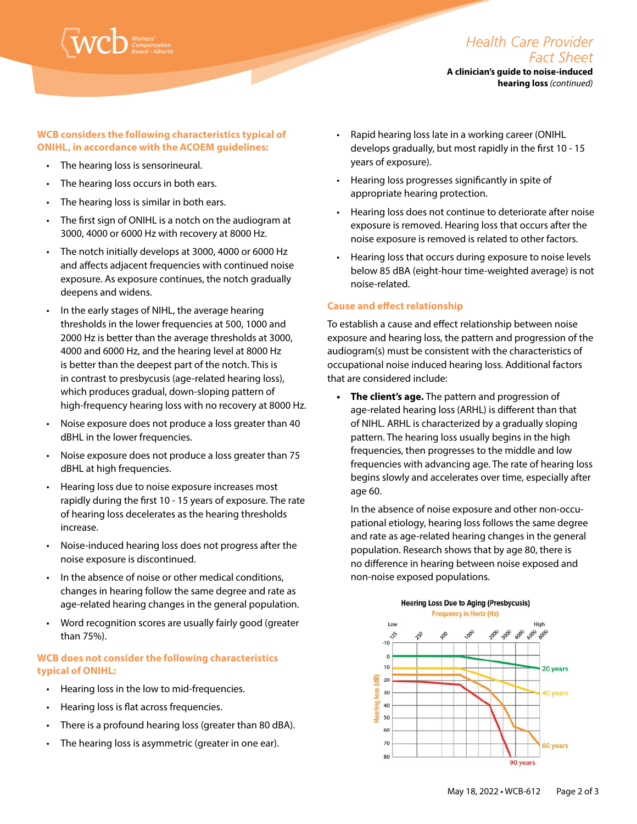## **Health Care Provider Fact Sheet**

**A clinician's guide to noise-induced hearing loss** *(continued)*

### **WCB considers the following characteristics typical of ONIHL, in accordance with the ACOEM guidelines:**

- The hearing loss is sensorineural.
- The hearing loss occurs in both ears.
- The hearing loss is similar in both ears.
- The first sign of ONIHL is a notch on the audiogram at 3000, 4000 or 6000 Hz with recovery at 8000 Hz.
- The notch initially develops at 3000, 4000 or 6000 Hz and affects adjacent frequencies with continued noise exposure. As exposure continues, the notch gradually deepens and widens.
- In the early stages of NIHL, the average hearing thresholds in the lower frequencies at 500, 1000 and 2000 Hz is better than the average thresholds at 3000, 4000 and 6000 Hz, and the hearing level at 8000 Hz is better than the deepest part of the notch. This is in contrast to presbycusis (age-related hearing loss), which produces gradual, down-sloping pattern of high-frequency hearing loss with no recovery at 8000 Hz.
- Noise exposure does not produce a loss greater than 40 dBHL in the lower frequencies.
- Noise exposure does not produce a loss greater than 75 dBHL at high frequencies.
- Hearing loss due to noise exposure increases most rapidly during the first 10 - 15 years of exposure. The rate of hearing loss decelerates as the hearing thresholds increase.
- Noise-induced hearing loss does not progress after the noise exposure is discontinued.
- In the absence of noise or other medical conditions, changes in hearing follow the same degree and rate as age-related hearing changes in the general population.
- Word recognition scores are usually fairly good (greater than 75%).

### **WCB does not consider the following characteristics typical of ONIHL:**

- Hearing loss in the low to mid-frequencies.
- Hearing loss is flat across frequencies.
- There is a profound hearing loss (greater than 80 dBA).
- The hearing loss is asymmetric (greater in one ear).
- Rapid hearing loss late in a working career (ONIHL develops gradually, but most rapidly in the first 10 - 15 years of exposure).
- Hearing loss progresses significantly in spite of appropriate hearing protection.
- Hearing loss does not continue to deteriorate after noise exposure is removed. Hearing loss that occurs after the noise exposure is removed is related to other factors.
- Hearing loss that occurs during exposure to noise levels below 85 dBA (eight-hour time-weighted average) is not noise-related.

#### **Cause and effect relationship**

To establish a cause and effect relationship between noise exposure and hearing loss, the pattern and progression of the audiogram(s) must be consistent with the characteristics of occupational noise induced hearing loss. Additional factors that are considered include:

**• The client's age.** The pattern and progression of age-related hearing loss (ARHL) is different than that of NIHL. ARHL is characterized by a gradually sloping pattern. The hearing loss usually begins in the high frequencies, then progresses to the middle and low frequencies with advancing age. The rate of hearing loss begins slowly and accelerates over time, especially after age 60.

In the absence of noise exposure and other non-occupational etiology, hearing loss follows the same degree and rate as age-related hearing changes in the general population. Research shows that by age 80, there is no difference in hearing between noise exposed and non-noise exposed populations.